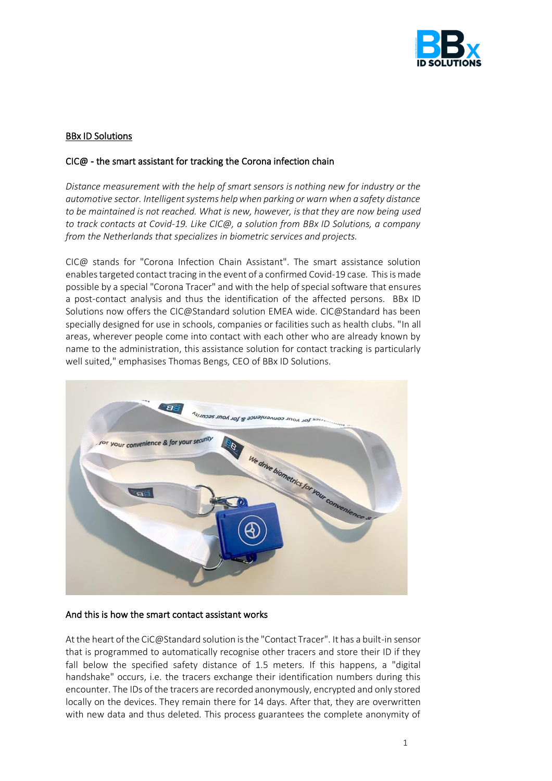

# BBx ID Solutions

### CIC@ - the smart assistant for tracking the Corona infection chain

*Distance measurement with the help of smart sensors is nothing new for industry or the automotive sector. Intelligent systems help when parking or warn when a safety distance to be maintained is not reached. What is new, however, is that they are now being used to track contacts at Covid-19. Like CIC@, a solution from BBx ID Solutions, a company from the Netherlands that specializes in biometric services and projects.*

CIC@ stands for "Corona Infection Chain Assistant". The smart assistance solution enables targeted contact tracing in the event of a confirmed Covid-19 case. This is made possible by a special "Corona Tracer" and with the help of special software that ensures a post-contact analysis and thus the identification of the affected persons. BBx ID Solutions now offers the CIC@Standard solution EMEA wide. CIC@Standard has been specially designed for use in schools, companies or facilities such as health clubs. "In all areas, wherever people come into contact with each other who are already known by name to the administration, this assistance solution for contact tracking is particularly well suited," emphasises Thomas Bengs, CEO of BBx ID Solutions.



# And this is how the smart contact assistant works

At the heart of the CiC@Standard solution is the "Contact Tracer". It has a built-in sensor that is programmed to automatically recognise other tracers and store their ID if they fall below the specified safety distance of 1.5 meters. If this happens, a "digital handshake" occurs, i.e. the tracers exchange their identification numbers during this encounter. The IDs of the tracers are recorded anonymously, encrypted and only stored locally on the devices. They remain there for 14 days. After that, they are overwritten with new data and thus deleted. This process guarantees the complete anonymity of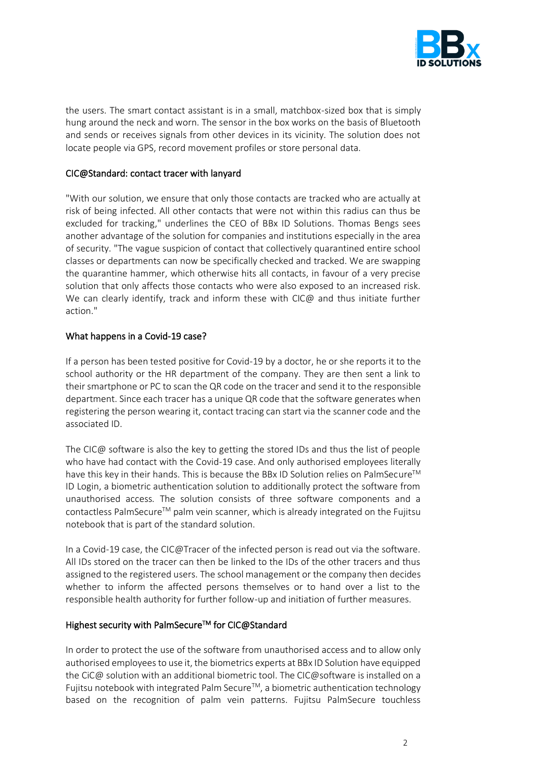

the users. The smart contact assistant is in a small, matchbox-sized box that is simply hung around the neck and worn. The sensor in the box works on the basis of Bluetooth and sends or receives signals from other devices in its vicinity. The solution does not locate people via GPS, record movement profiles or store personal data.

### CIC@Standard: contact tracer with lanyard

"With our solution, we ensure that only those contacts are tracked who are actually at risk of being infected. All other contacts that were not within this radius can thus be excluded for tracking," underlines the CEO of BBx ID Solutions. Thomas Bengs sees another advantage of the solution for companies and institutions especially in the area of security. "The vague suspicion of contact that collectively quarantined entire school classes or departments can now be specifically checked and tracked. We are swapping the quarantine hammer, which otherwise hits all contacts, in favour of a very precise solution that only affects those contacts who were also exposed to an increased risk. We can clearly identify, track and inform these with CIC@ and thus initiate further action."

### What happens in a Covid-19 case?

If a person has been tested positive for Covid-19 by a doctor, he or she reports it to the school authority or the HR department of the company. They are then sent a link to their smartphone or PC to scan the QR code on the tracer and send it to the responsible department. Since each tracer has a unique QR code that the software generates when registering the person wearing it, contact tracing can start via the scanner code and the associated ID.

The CIC@ software is also the key to getting the stored IDs and thus the list of people who have had contact with the Covid-19 case. And only authorised employees literally have this key in their hands. This is because the BBx ID Solution relies on PalmSecure™ ID Login, a biometric authentication solution to additionally protect the software from unauthorised access. The solution consists of three software components and a contactless PalmSecure<sup>™</sup> palm vein scanner, which is already integrated on the Fujitsu notebook that is part of the standard solution.

In a Covid-19 case, the CIC@Tracer of the infected person is read out via the software. All IDs stored on the tracer can then be linked to the IDs of the other tracers and thus assigned to the registered users. The school management or the company then decides whether to inform the affected persons themselves or to hand over a list to the responsible health authority for further follow-up and initiation of further measures.

#### Highest security with PalmSecure™ for CIC@Standard

In order to protect the use of the software from unauthorised access and to allow only authorised employees to use it, the biometrics experts at BBx ID Solution have equipped the CiC@ solution with an additional biometric tool. The CIC@software is installed on a Fujitsu notebook with integrated Palm Secure™, a biometric authentication technology based on the recognition of palm vein patterns. Fujitsu PalmSecure touchless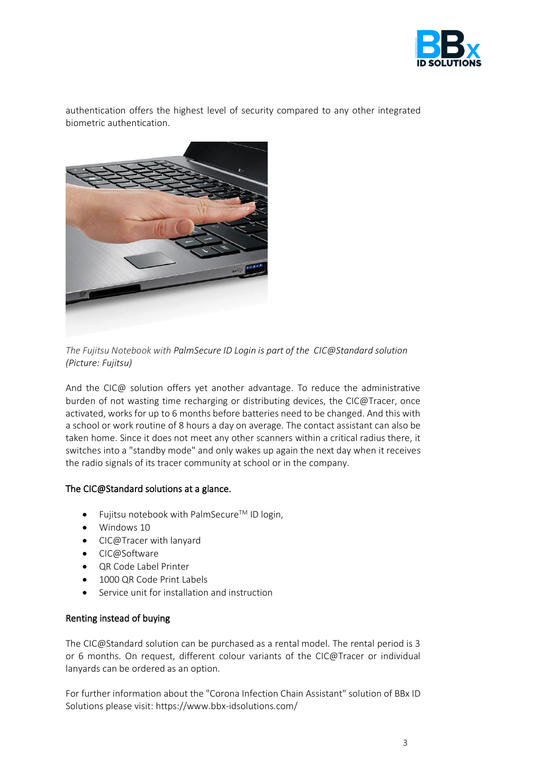

authentication offers the highest level of security compared to any other integrated biometric authentication.



*The Fujitsu Notebook with PalmSecure ID Login is part of the CIC@Standard solution (Picture: Fujitsu)*

And the CIC@ solution offers yet another advantage. To reduce the administrative burden of not wasting time recharging or distributing devices, the CIC@Tracer, once activated, works for up to 6 months before batteries need to be changed. And this with a school or work routine of 8 hours a day on average. The contact assistant can also be taken home. Since it does not meet any other scanners within a critical radius there, it switches into a "standby mode" and only wakes up again the next day when it receives the radio signals of its tracer community at school or in the company.

# The CIC@Standard solutions at a glance.

- Fujitsu notebook with PalmSecure™ ID login,
- Windows 10
- CIC@Tracer with lanyard
- CIC@Software
- QR Code Label Printer
- 1000 QR Code Print Labels
- Service unit for installation and instruction

#### Renting instead of buying

The CIC@Standard solution can be purchased as a rental model. The rental period is 3 or 6 months. On request, different colour variants of the CIC@Tracer or individual lanyards can be ordered as an option.

For further information about the "Corona Infection Chain Assistant" solution of BBx ID Solutions please visit: https://www.bbx-idsolutions.com/